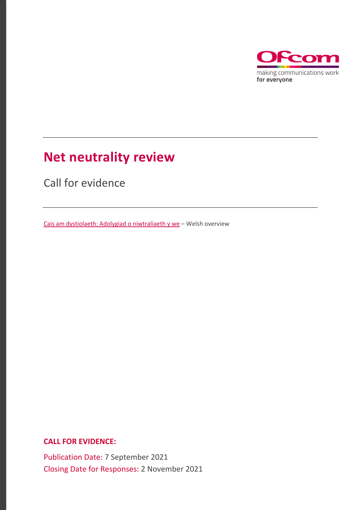

# **Net neutrality review**

Call for evidence

[Cais am dystiolaeth: Adolygiad o niwtraliaeth y we](https://www.ofcom.org.uk/__data/assets/pdf_file/0015/224124/adolygiad-o-niwtraliaeth-y-we-cais-am-dystiolaeth.pdf) – Welsh overview

**CALL FOR EVIDENCE:**

Publication Date: 7 September 2021 Closing Date for Responses: 2 November 2021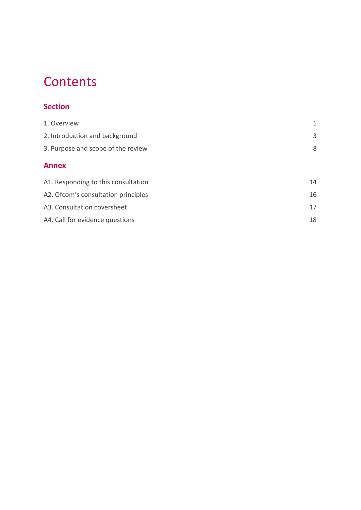# **Contents**

## **Section**

| 1. Overview                          | 1  |
|--------------------------------------|----|
| 2. Introduction and background       | 3  |
| 3. Purpose and scope of the review   | 8  |
| <b>Annex</b>                         |    |
| A1. Responding to this consultation  | 14 |
| A2. Of com's consultation principles | 16 |
| A3. Consultation coversheet          | 17 |
| A4. Call for evidence questions      | 18 |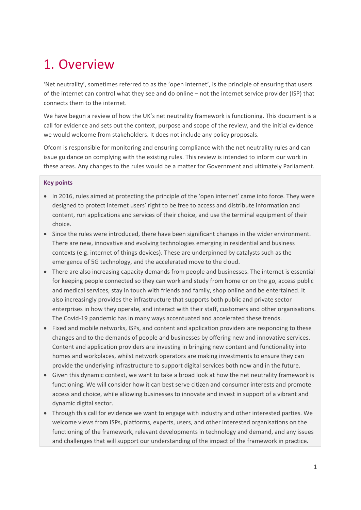# <span id="page-2-0"></span>1. Overview

'Net neutrality', sometimes referred to as the 'open internet', is the principle of ensuring that users of the internet can control what they see and do online – not the internet service provider (ISP) that connects them to the internet.

We have begun a review of how the UK's net neutrality framework is functioning. This document is a call for evidence and sets out the context, purpose and scope of the review, and the initial evidence we would welcome from stakeholders. It does not include any policy proposals.

Ofcom is responsible for monitoring and ensuring compliance with the net neutrality rules and can issue guidance on complying with the existing rules. This review is intended to inform our work in these areas. Any changes to the rules would be a matter for Government and ultimately Parliament.

#### **Key points**

- In 2016, rules aimed at protecting the principle of the 'open internet' came into force. They were designed to protect internet users' right to be free to access and distribute information and content, run applications and services of their choice, and use the terminal equipment of their choice.
- Since the rules were introduced, there have been significant changes in the wider environment. There are new, innovative and evolving technologies emerging in residential and business contexts (e.g. internet of things devices). These are underpinned by catalysts such as the emergence of 5G technology, and the accelerated move to the cloud.
- There are also increasing capacity demands from people and businesses. The internet is essential for keeping people connected so they can work and study from home or on the go, access public and medical services, stay in touch with friends and family, shop online and be entertained. It also increasingly provides the infrastructure that supports both public and private sector enterprises in how they operate, and interact with their staff, customers and other organisations. The Covid-19 pandemic has in many ways accentuated and accelerated these trends.
- Fixed and mobile networks, ISPs, and content and application providers are responding to these changes and to the demands of people and businesses by offering new and innovative services. Content and application providers are investing in bringing new content and functionality into homes and workplaces, whilst network operators are making investments to ensure they can provide the underlying infrastructure to support digital services both now and in the future.
- Given this dynamic context, we want to take a broad look at how the net neutrality framework is functioning. We will consider how it can best serve citizen and consumer interests and promote access and choice, while allowing businesses to innovate and invest in support of a vibrant and dynamic digital sector.
- Through this call for evidence we want to engage with industry and other interested parties. We welcome views from ISPs, platforms, experts, users, and other interested organisations on the functioning of the framework, relevant developments in technology and demand, and any issues and challenges that will support our understanding of the impact of the framework in practice.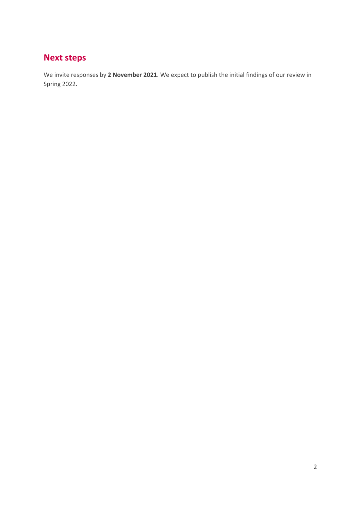# **Next steps**

We invite responses by **2 November 2021**. We expect to publish the initial findings of our review in Spring 2022.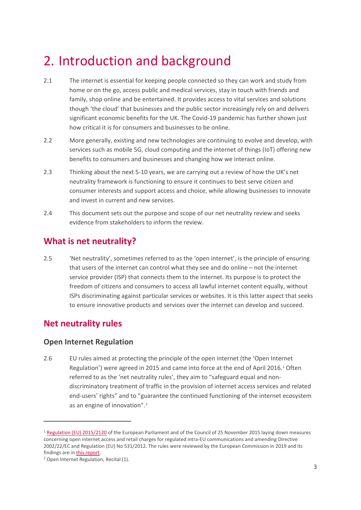# <span id="page-4-0"></span>2. Introduction and background

- 2.1 The internet is essential for keeping people connected so they can work and study from home or on the go, access public and medical services, stay in touch with friends and family, shop online and be entertained. It provides access to vital services and solutions though 'the cloud' that businesses and the public sector increasingly rely on and delivers significant economic benefits for the UK. The Covid-19 pandemic has further shown just how critical it is for consumers and businesses to be online.
- 2.2 More generally, existing and new technologies are continuing to evolve and develop, with services such as mobile 5G, cloud computing and the internet of things (IoT) offering new benefits to consumers and businesses and changing how we interact online.
- 2.3 Thinking about the next 5-10 years, we are carrying out a review of how the UK's net neutrality framework is functioning to ensure it continues to best serve citizen and consumer interests and support access and choice, while allowing businesses to innovate and invest in current and new services.
- 2.4 This document sets out the purpose and scope of our net neutrality review and seeks evidence from stakeholders to inform the review.

## **What is net neutrality?**

2.5 'Net neutrality', sometimes referred to as the 'open internet', is the principle of ensuring that users of the internet can control what they see and do online – not the internet service provider (ISP) that connects them to the internet. Its purpose is to protect the freedom of citizens and consumers to access all lawful internet content equally, without ISPs discriminating against particular services or websites. It is this latter aspect that seeks to ensure innovative products and services over the internet can develop and succeed.

## **Net neutrality rules**

### **Open Internet Regulation**

2.6 EU rules aimed at protecting the principle of the open internet (the 'Open Internet Regulation') were agreed in 2015 and came into force at the end of April 2016.[1](#page-4-1) Often referred to as the 'net neutrality rules', they aim to "safeguard equal and nondiscriminatory treatment of traffic in the provision of internet access services and related end-users' rights" and to "guarantee the continued functioning of the internet ecosystem as an engine of innovation".[2](#page-4-2)

<span id="page-4-1"></span><sup>&</sup>lt;sup>1</sup> [Regulation \(EU\) 2015/2120](https://eur-lex.europa.eu/legal-content/EN/TXT/?uri=CELEX%3A02015R2120-20201221) of the European Parliament and of the Council of 25 November 2015 laying down measures concerning open internet access and retail charges for regulated intra-EU communications and amending Directive 2002/22/EC and Regulation (EU) No 531/2012. The rules were reviewed by the European Commission in 2019 and its findings are i[n this report.](https://eur-lex.europa.eu/legal-content/EN/TXT/PDF/?uri=CELEX:52019DC0203&from=GA)

<span id="page-4-2"></span><sup>2</sup> Open Internet Regulation, Recital (1).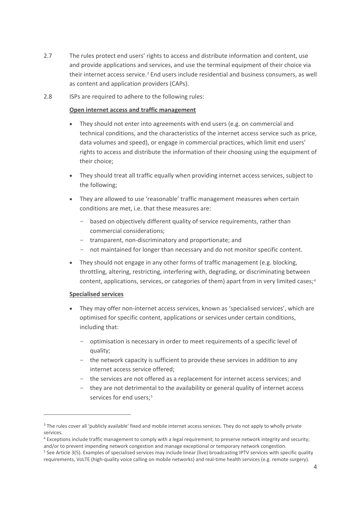- 2.7 The rules protect end users' rights to access and distribute information and content, use and provide applications and services, and use the terminal equipment of their choice via their internet access service.<sup>[3](#page-5-0)</sup> End users include residential and business consumers, as well as content and application providers (CAPs).
- <span id="page-5-3"></span>2.8 ISPs are required to adhere to the following rules:

#### **Open internet access and traffic management**

- They should not enter into agreements with end users (e.g. on commercial and technical conditions, and the characteristics of the internet access service such as price, data volumes and speed), or engage in commercial practices, which limit end users' rights to access and distribute the information of their choosing using the equipment of their choice;
- They should treat all traffic equally when providing internet access services, subject to the following;
- They are allowed to use 'reasonable' traffic management measures when certain conditions are met, i.e. that these measures are:
	- based on objectively different quality of service requirements, rather than commercial considerations;
	- transparent, non-discriminatory and proportionate; and
	- not maintained for longer than necessary and do not monitor specific content.
- They should not engage in any other forms of traffic management (e.g. blocking, throttling, altering, restricting, interfering with, degrading, or discriminating between content, applications, services, or categories of them) apart from in very limited cases;<sup>[4](#page-5-1)</sup>

#### **Specialised services**

- They may offer non-internet access services, known as 'specialised services', which are optimised for specific content, applications or services under certain conditions, including that:
	- optimisation is necessary in order to meet requirements of a specific level of quality;
	- the network capacity is sufficient to provide these services in addition to any internet access service offered;
	- the services are not offered as a replacement for internet access services; and
	- they are not detrimental to the availability or general quality of internet access services for end users;<sup>[5](#page-5-2)</sup>

<span id="page-5-0"></span><sup>&</sup>lt;sup>3</sup> The rules cover all 'publicly available' fixed and mobile internet access services. They do not apply to wholly private services.

<span id="page-5-1"></span><sup>&</sup>lt;sup>4</sup> Exceptions include traffic management to comply with a legal requirement; to preserve network integrity and security; and/or to prevent impending network congestion and manage exceptional or temporary network congestion.

<span id="page-5-2"></span><sup>5</sup> See Article 3(5). Examples of specialised services may include linear (live) broadcasting IPTV services with specific quality requirements, VoLTE (high-quality voice calling on mobile networks) and real-time health services (e.g. remote surgery).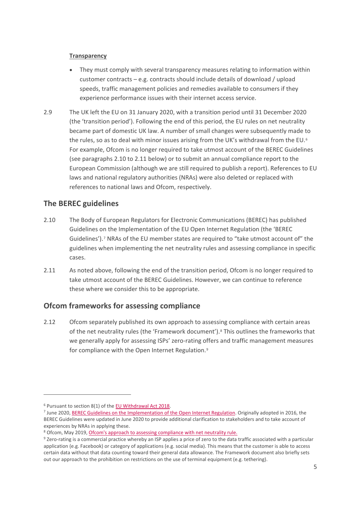#### **Transparency**

- They must comply with several transparency measures relating to information within customer contracts – e.g. contracts should include details of download / upload speeds, traffic management policies and remedies available to consumers if they experience performance issues with their internet access service.
- 2.9 The UK left the EU on 31 January 2020, with a transition period until 31 December 2020 (the 'transition period'). Following the end of this period, the EU rules on net neutrality became part of domestic UK law. A number of small changes were subsequently made to the rules, so as to deal with minor issues arising from the UK's withdrawal from the EU.<sup>[6](#page-6-2)</sup> For example, Ofcom is no longer required to take utmost account of the BEREC Guidelines (see paragraphs [2.10](#page-6-0) to [2.11](#page-6-1) below) or to submit an annual compliance report to the European Commission (although we are still required to publish a report). References to EU laws and national regulatory authorities (NRAs) were also deleted or replaced with references to national laws and Ofcom, respectively.

### **The BEREC guidelines**

- <span id="page-6-0"></span>2.10 The Body of European Regulators for Electronic Communications (BEREC) has published Guidelines on the Implementation of the EU Open Internet Regulation (the 'BEREC Guidelines').[7](#page-6-3) NRAs of the EU member states are required to "take utmost account of" the guidelines when implementing the net neutrality rules and assessing compliance in specific cases.
- <span id="page-6-1"></span>2.11 As noted above, following the end of the transition period, Ofcom is no longer required to take utmost account of the BEREC Guidelines. However, we can continue to reference these where we consider this to be appropriate.

### **Ofcom frameworks for assessing compliance**

2.12 Ofcom separately published its own approach to assessing compliance with certain areas of the net neutrality rules (the 'Framework document').[8](#page-6-4) This outlines the frameworks that we generally apply for assessing ISPs' zero-rating offers and traffic management measures for compliance with the Open Internet Regulation.<sup>[9](#page-6-5)</sup>

<span id="page-6-2"></span><sup>6</sup> Pursuant to section 8(1) of th[e EU Withdrawal Act 2018.](https://www.legislation.gov.uk/ukpga/2018/16/contents/enacted)

<span id="page-6-3"></span><sup>&</sup>lt;sup>7</sup> June 2020, [BEREC Guidelines on the Implementation of the Open Internet Regulation.](https://berec.europa.eu/eng/document_register/subject_matter/berec/regulatory_best_practices/guidelines/9277-berec-guidelines-on-the-implementation-of-the-open-internet-regulation) Originally adopted in 2016, the BEREC Guidelines were updated in June 2020 to provide additional clarification to stakeholders and to take account of experiences by NRAs in applying these.

<span id="page-6-4"></span><sup>&</sup>lt;sup>8</sup> Ofcom, May 2019, *Ofcom's approach to assessing compliance with net neutrality rule.* 

<span id="page-6-5"></span><sup>9</sup> Zero-rating is a commercial practice whereby an ISP applies a price of zero to the data traffic associated with a particular application (e.g. Facebook) or category of applications (e.g. social media). This means that the customer is able to access certain data without that data counting toward their general data allowance. The Framework document also briefly sets out our approach to the prohibition on restrictions on the use of terminal equipment (e.g. tethering).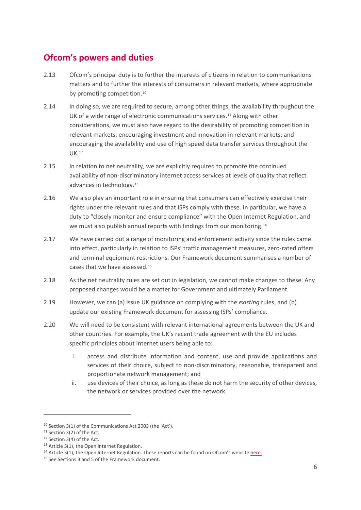## **Ofcom's powers and duties**

- 2.13 Ofcom's principal duty is to further the interests of citizens in relation to communications matters and to further the interests of consumers in relevant markets, where appropriate by promoting competition.<sup>[10](#page-7-0)</sup>
- 2.14 In doing so, we are required to secure, among other things, the availability throughout the UK of a wide range of electronic communications services.<sup>[11](#page-7-1)</sup> Along with other considerations, we must also have regard to the desirability of promoting competition in relevant markets; encouraging investment and innovation in relevant markets; and encouraging the availability and use of high speed data transfer services throughout the UK.[12](#page-7-2)
- 2.15 In relation to net neutrality, we are explicitly required to promote the continued availability of non-discriminatory internet access services at levels of quality that reflect advances in technology.<sup>[13](#page-7-3)</sup>
- 2.16 We also play an important role in ensuring that consumers can effectively exercise their rights under the relevant rules and that ISPs comply with these. In particular, we have a duty to "closely monitor and ensure compliance" with the Open Internet Regulation, and we must also publish annual reports with findings from our monitoring.[14](#page-7-4)
- 2.17 We have carried out a range of monitoring and enforcement activity since the rules came into effect, particularly in relation to ISPs' traffic management measures, zero-rated offers and terminal equipment restrictions. Our Framework document summarises a number of cases that we have assessed.[15](#page-7-5)
- 2.18 As the net neutrality rules are set out in legislation, we cannot make changes to these. Any proposed changes would be a matter for Government and ultimately Parliament.
- 2.19 However, we can (a) issue UK guidance on complying with the *existing* rules, and (b) update our existing Framework document for assessing ISPs' compliance.
- 2.20 We will need to be consistent with relevant international agreements between the UK and other countries. For example, the UK's recent trade agreement with the EU includes specific principles about internet users being able to:
	- i. access and distribute information and content, use and provide applications and services of their choice, subject to non-discriminatory, reasonable, transparent and proportionate network management; and
	- ii. use devices of their choice, as long as these do not harm the security of other devices, the network or services provided over the network.

<span id="page-7-0"></span><sup>10</sup> Section 3(1) of the Communications Act 2003 (the 'Act').

<span id="page-7-1"></span><sup>&</sup>lt;sup>11</sup> Section 3(2) of the Act.

<span id="page-7-2"></span><sup>&</sup>lt;sup>12</sup> Section 3(4) of the Act.

<span id="page-7-3"></span><sup>&</sup>lt;sup>13</sup> Article 5(1), the Open Internet Regulation.

<span id="page-7-4"></span><sup>&</sup>lt;sup>14</sup> Article 5(1), the Open Internet Regulation. These reports can be found on Ofcom's websit[e here.](https://www.ofcom.org.uk/research-and-data/internet-and-on-demand-research/net-neutrality)

<span id="page-7-5"></span><sup>&</sup>lt;sup>15</sup> See Sections 3 and 5 of the Framework document.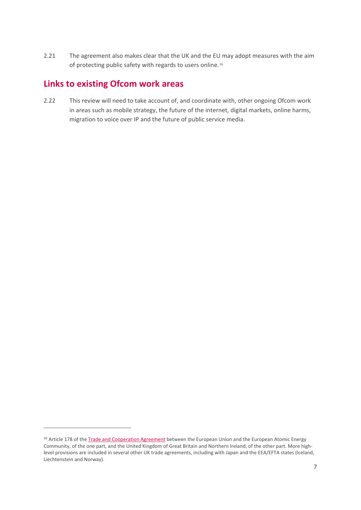2.21 The agreement also makes clear that the UK and the EU may adopt measures with the aim of protecting public safety with regards to users online.<sup>[16](#page-8-0)</sup>

## **Links to existing Ofcom work areas**

2.22 This review will need to take account of, and coordinate with, other ongoing Ofcom work in areas such as mobile strategy, the future of the internet, digital markets, online harms, migration to voice over IP and the future of public service media.

<span id="page-8-0"></span><sup>&</sup>lt;sup>16</sup> Article 178 of the **[Trade and Cooperation Agreement](https://assets.publishing.service.gov.uk/government/uploads/system/uploads/attachment_data/file/982648/TS_8.2021_UK_EU_EAEC_Trade_and_Cooperation_Agreement.pdf)** between the European Union and the European Atomic Energy Community, of the one part, and the United Kingdom of Great Britain and Northern Ireland, of the other part. More highlevel provisions are included in several other UK trade agreements, including with Japan and the EEA/EFTA states (Iceland, Liechtenstein and Norway).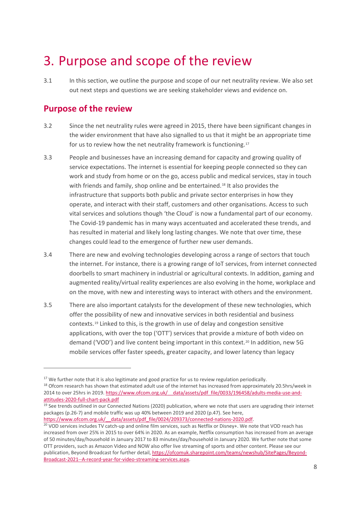# <span id="page-9-0"></span>3. Purpose and scope of the review

3.1 In this section, we outline the purpose and scope of our net neutrality review. We also set out next steps and questions we are seeking stakeholder views and evidence on.

## **Purpose of the review**

- 3.2 Since the net neutrality rules were agreed in 2015, there have been significant changes in the wider environment that have also signalled to us that it might be an appropriate time for us to review how the net neutrality framework is functioning.[17](#page-9-1)
- 3.3 People and businesses have an increasing demand for capacity and growing quality of service expectations. The internet is essential for keeping people connected so they can work and study from home or on the go, access public and medical services, stay in touch with friends and family, shop online and be entertained.<sup>[18](#page-9-2)</sup> It also provides the infrastructure that supports both public and private sector enterprises in how they operate, and interact with their staff, customers and other organisations. Access to such vital services and solutions though 'the Cloud' is now a fundamental part of our economy. The Covid-19 pandemic has in many ways accentuated and accelerated these trends, and has resulted in material and likely long lasting changes. We note that over time, these changes could lead to the emergence of further new user demands.
- 3.4 There are new and evolving technologies developing across a range of sectors that touch the internet. For instance, there is a growing range of IoT services, from internet connected doorbells to smart machinery in industrial or agricultural contexts. In addition, gaming and augmented reality/virtual reality experiences are also evolving in the home, workplace and on the move, with new and interesting ways to interact with others and the environment.
- 3.5 There are also important catalysts for the development of these new technologies, which offer the possibility of new and innovative services in both residential and business contexts.[19](#page-9-3) Linked to this, is the growth in use of delay and congestion sensitive applications, with over the top ('OTT') services that provide a mixture of both video on demand ('VOD') and live content being important in this context.<sup>[20](#page-9-4)</sup> In addition, new 5G mobile services offer faster speeds, greater capacity, and lower latency than legacy

<span id="page-9-1"></span><sup>&</sup>lt;sup>17</sup> We further note that it is also legitimate and good practice for us to review regulation periodically.

<span id="page-9-2"></span> $18$  Ofcom research has shown that estimated adult use of the internet has increased from approximately 20.5hrs/week in 2014 to over 25hrs in 2019[. https://www.ofcom.org.uk/\\_\\_data/assets/pdf\\_file/0033/196458/adults-media-use-and](https://www.ofcom.org.uk/__data/assets/pdf_file/0033/196458/adults-media-use-and-attitudes-2020-full-chart-pack.pdf)[attitudes-2020-full-chart-pack.pdf](https://www.ofcom.org.uk/__data/assets/pdf_file/0033/196458/adults-media-use-and-attitudes-2020-full-chart-pack.pdf)

<span id="page-9-3"></span> $19$  See trends outlined in our Connected Nations (2020) publication, where we note that users are upgrading their internet packages (p.26-7) and mobile traffic was up 40% between 2019 and 2020 (p.47). See here,

<span id="page-9-4"></span>[https://www.ofcom.org.uk/\\_\\_data/assets/pdf\\_file/0024/209373/connected-nations-2020.pdf.](https://www.ofcom.org.uk/__data/assets/pdf_file/0024/209373/connected-nations-2020.pdf)<br><sup>20</sup> VOD services includes TV catch-up and online film services, such as Netflix or Disney+. We note that VOD reach has increased from over 25% in 2015 to over 64% in 2020. As an example, Netflix consumption has increased from an average of 50 minutes/day/household in January 2017 to 83 minutes/day/household in January 2020. We further note that some OTT providers, such as Amazon Video and NOW also offer live streaming of sports and other content. Please see our publication, Beyond Broadcast for further detail[, https://ofcomuk.sharepoint.com/teams/newshub/SitePages/Beyond-](https://ofcomuk.sharepoint.com/teams/newshub/SitePages/Beyond-Broadcast-2021--A-record-year-for-video-streaming-services.aspx)[Broadcast-2021--A-record-year-for-video-streaming-services.aspx.](https://ofcomuk.sharepoint.com/teams/newshub/SitePages/Beyond-Broadcast-2021--A-record-year-for-video-streaming-services.aspx)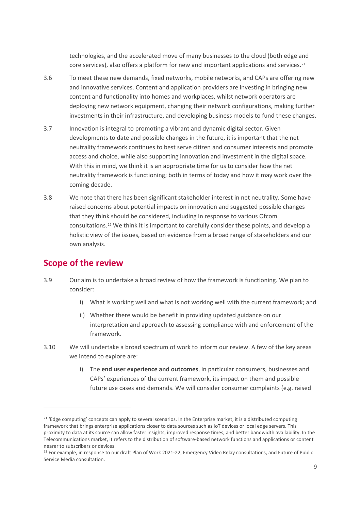technologies, and the accelerated move of many businesses to the cloud (both edge and core services), also offers a platform for new and important applications and services.<sup>[21](#page-10-0)</sup>

- 3.6 To meet these new demands, fixed networks, mobile networks, and CAPs are offering new and innovative services. Content and application providers are investing in bringing new content and functionality into homes and workplaces, whilst network operators are deploying new network equipment, changing their network configurations, making further investments in their infrastructure, and developing business models to fund these changes.
- 3.7 Innovation is integral to promoting a vibrant and dynamic digital sector. Given developments to date and possible changes in the future, it is important that the net neutrality framework continues to best serve citizen and consumer interests and promote access and choice, while also supporting innovation and investment in the digital space. With this in mind, we think it is an appropriate time for us to consider how the net neutrality framework is functioning; both in terms of today and how it may work over the coming decade.
- 3.8 We note that there has been significant stakeholder interest in net neutrality. Some have raised concerns about potential impacts on innovation and suggested possible changes that they think should be considered, including in response to various Ofcom consultations.[22](#page-10-1) We think it is important to carefully consider these points, and develop a holistic view of the issues, based on evidence from a broad range of stakeholders and our own analysis.

### **Scope of the review**

- 3.9 Our aim is to undertake a broad review of how the framework is functioning. We plan to consider:
	- i) What is working well and what is not working well with the current framework; and
	- ii) Whether there would be benefit in providing updated guidance on our interpretation and approach to assessing compliance with and enforcement of the framework.
- 3.10 We will undertake a broad spectrum of work to inform our review. A few of the key areas we intend to explore are:
	- i) The **end user experience and outcomes**, in particular consumers, businesses and CAPs' experiences of the current framework, its impact on them and possible future use cases and demands. We will consider consumer complaints (e.g. raised

<span id="page-10-0"></span> $21$  'Edge computing' concepts can apply to several scenarios. In the Enterprise market, it is a distributed computing framework that brings enterprise applications closer to data sources such as IoT devices or local edge servers. This proximity to data at its source can allow faster insights, improved response times, and better bandwidth availability. In the Telecommunications market, it refers to the distribution of software-based network functions and applications or content nearer to subscribers or devices.

<span id="page-10-1"></span><sup>&</sup>lt;sup>22</sup> For example, in response to our draft Plan of Work 2021-22, Emergency Video Relay consultations, and Future of Public Service Media consultation.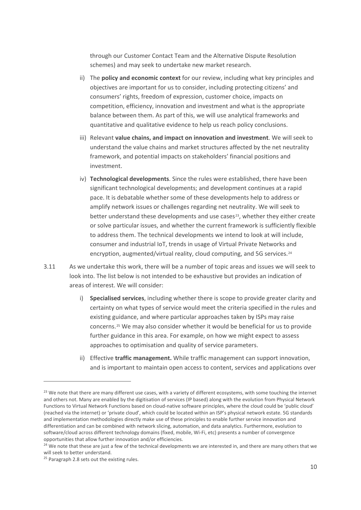through our Customer Contact Team and the Alternative Dispute Resolution schemes) and may seek to undertake new market research.

- ii) The **policy and economic context** for our review, including what key principles and objectives are important for us to consider, including protecting citizens' and consumers' rights, freedom of expression, customer choice, impacts on competition, efficiency, innovation and investment and what is the appropriate balance between them. As part of this, we will use analytical frameworks and quantitative and qualitative evidence to help us reach policy conclusions.
- iii) Relevant **value chains, and impact on innovation and investment**. We will seek to understand the value chains and market structures affected by the net neutrality framework, and potential impacts on stakeholders' financial positions and investment.
- iv) **Technological developments**. Since the rules were established, there have been significant technological developments; and development continues at a rapid pace. It is debatable whether some of these developments help to address or amplify network issues or challenges regarding net neutrality. We will seek to better understand these developments and use cases $23$ , whether they either create or solve particular issues, and whether the current framework is sufficiently flexible to address them. The technical developments we intend to look at will include, consumer and industrial IoT, trends in usage of Virtual Private Networks and encryption, augmented/virtual reality, cloud computing, and 5G services.<sup>[24](#page-11-1)</sup>
- 3.11 As we undertake this work, there will be a number of topic areas and issues we will seek to look into. The list below is not intended to be exhaustive but provides an indication of areas of interest. We will consider:
	- i) **Specialised services**, including whether there is scope to provide greater clarity and certainty on what types of service would meet the criteria specified in the rules and existing guidance, and where particular approaches taken by ISPs may raise concerns.[25](#page-11-2) We may also consider whether it would be beneficial for us to provide further guidance in this area. For example, on how we might expect to assess approaches to optimisation and quality of service parameters.
	- ii) Effective **traffic management.** While traffic management can support innovation, and is important to maintain open access to content, services and applications over

<span id="page-11-0"></span><sup>&</sup>lt;sup>23</sup> We note that there are many different use cases, with a variety of different ecosystems, with some touching the internet and others not. Many are enabled by the digitisation of services (IP based) along with the evolution from Physical Network Functions to Virtual Network Functions based on cloud-native software principles, where the cloud could be 'public cloud' (reached via the internet) or 'private cloud', which could be located within an ISP's physical network estate. 5G standards and implementation methodologies directly make use of these principles to enable further service innovation and differentiation and can be combined with network slicing, automation, and data analytics. Furthermore, evolution to software/cloud across different technology domains (fixed, mobile, Wi-Fi, etc) presents a number of convergence opportunities that allow further innovation and/or efficiencies.

<span id="page-11-1"></span><sup>&</sup>lt;sup>24</sup> We note that these are just a few of the technical developments we are interested in, and there are many others that we will seek to better understand.

<span id="page-11-2"></span><sup>&</sup>lt;sup>25</sup> Paragrap[h 2.8](#page-5-3) sets out the existing rules.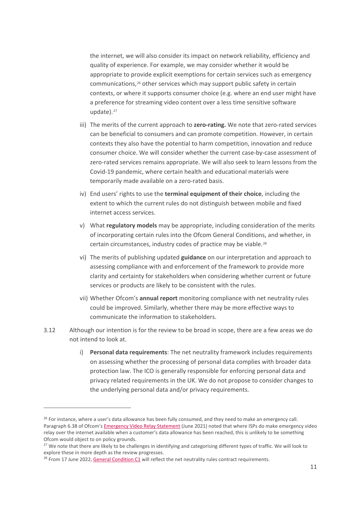the internet, we will also consider its impact on network reliability, efficiency and quality of experience. For example, we may consider whether it would be appropriate to provide explicit exemptions for certain services such as emergency communications,[26](#page-12-0) other services which may support public safety in certain contexts, or where it supports consumer choice (e.g. where an end user might have a preference for streaming video content over a less time sensitive software update).<sup>[27](#page-12-1)</sup>

- iii) The merits of the current approach to **zero-rating.** We note that zero-rated services can be beneficial to consumers and can promote competition. However, in certain contexts they also have the potential to harm competition, innovation and reduce consumer choice. We will consider whether the current case-by-case assessment of zero-rated services remains appropriate. We will also seek to learn lessons from the Covid-19 pandemic, where certain health and educational materials were temporarily made available on a zero-rated basis.
- iv) End users' rights to use the **terminal equipment of their choice**, including the extent to which the current rules do not distinguish between mobile and fixed internet access services.
- v) What **regulatory models** may be appropriate, including consideration of the merits of incorporating certain rules into the Ofcom General Conditions, and whether, in certain circumstances, industry codes of practice may be viable.[28](#page-12-2)
- vi) The merits of publishing updated **guidance** on our interpretation and approach to assessing compliance with and enforcement of the framework to provide more clarity and certainty for stakeholders when considering whether current or future services or products are likely to be consistent with the rules.
- vii) Whether Ofcom's **annual report** monitoring compliance with net neutrality rules could be improved. Similarly, whether there may be more effective ways to communicate the information to stakeholders.
- 3.12 Although our intention is for the review to be broad in scope, there are a few areas we do not intend to look at.
	- i) **Personal data requirements**: The net neutrality framework includes requirements on assessing whether the processing of personal data complies with broader data protection law. The ICO is generally responsible for enforcing personal data and privacy related requirements in the UK. We do not propose to consider changes to the underlying personal data and/or privacy requirements.

<span id="page-12-0"></span><sup>&</sup>lt;sup>26</sup> For instance, where a user's data allowance has been fully consumed, and they need to make an emergency call. Paragraph 6.38 of Ofcom'[s Emergency Video Relay Statement](https://www.ofcom.org.uk/__data/assets/pdf_file/0028/220879/statement-emergency-video-relay.pdf) (June 2021) noted that where ISPs do make emergency video relay over the internet available when a customer's data allowance has been reached, this is unlikely to be something Ofcom would object to on policy grounds.

<span id="page-12-1"></span><sup>&</sup>lt;sup>27</sup> We note that there are likely to be challenges in identifying and categorising different types of traffic. We will look to explore these in more depth as the review progresses.<br><sup>28</sup> From 17 June 2022, [General Condition C1](https://www.ofcom.org.uk/__data/assets/pdf_file/0017/209501/annex-4-revised-gc-eecc-17-jun-22.pdf) will reflect the net neutrality rules contract requirements.

<span id="page-12-2"></span>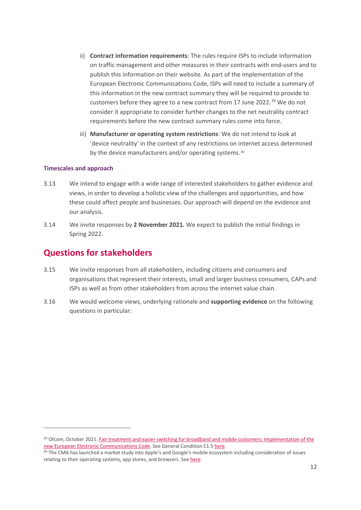- ii) **Contract information requirements**: The rules require ISPs to include information on traffic management and other measures in their contracts with end-users and to publish this information on their website. As part of the implementation of the European Electronic Communications Code, ISPs will need to include a summary of this information in the new contract summary they will be required to provide to customers before they agree to a new contract from 17 June 2022.<sup>[29](#page-13-0)</sup> We do not consider it appropriate to consider further changes to the net neutrality contract requirements before the new contract summary rules come into force.
- iii) **Manufacturer or operating system restrictions**: We do not intend to look at 'device neutrality' in the context of any restrictions on internet access determined by the device manufacturers and/or operating systems.<sup>[30](#page-13-1)</sup>

#### **Timescales and approach**

- 3.13 We intend to engage with a wide range of interested stakeholders to gather evidence and views, in order to develop a holistic view of the challenges and opportunities, and how these could affect people and businesses. Our approach will depend on the evidence and our analysis.
- 3.14 We invite responses by **2 November 2021.** We expect to publish the initial findings in Spring 2022.

## **Questions for stakeholders**

- 3.15 We invite responses from all stakeholders, including citizens and consumers and organisations that represent their interests, small and larger business consumers, CAPs and ISPs as well as from other stakeholders from across the internet value chain.
- 3.16 We would welcome views, underlying rationale and **supporting evidence** on the following questions in particular:

<span id="page-13-0"></span><sup>&</sup>lt;sup>29</sup> Ofcom, October 2021. Fair treatment and easier switching for broadband and mobile customers: Implementation of the new European Electronic Communications Code. See General Condition C1.5 here.<br><sup>30</sup> The CMA has launched a market study into Apple's and Google's mobile ecosystem including consideration of issues

<span id="page-13-1"></span>relating to their operating systems, app stores, and browsers. See [here.](https://www.gov.uk/government/news/cma-to-scrutinise-apple-and-google-mobile-ecosystems)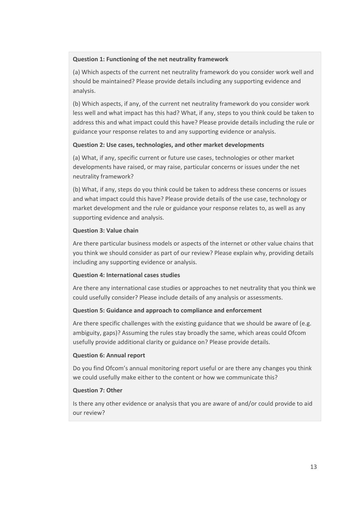#### **Question 1: Functioning of the net neutrality framework**

(a) Which aspects of the current net neutrality framework do you consider work well and should be maintained? Please provide details including any supporting evidence and analysis.

(b) Which aspects, if any, of the current net neutrality framework do you consider work less well and what impact has this had? What, if any, steps to you think could be taken to address this and what impact could this have? Please provide details including the rule or guidance your response relates to and any supporting evidence or analysis.

#### **Question 2: Use cases, technologies, and other market developments**

(a) What, if any, specific current or future use cases, technologies or other market developments have raised, or may raise, particular concerns or issues under the net neutrality framework?

(b) What, if any, steps do you think could be taken to address these concerns or issues and what impact could this have? Please provide details of the use case, technology or market development and the rule or guidance your response relates to, as well as any supporting evidence and analysis.

#### **Question 3: Value chain**

Are there particular business models or aspects of the internet or other value chains that you think we should consider as part of our review? Please explain why, providing details including any supporting evidence or analysis.

#### **Question 4: International cases studies**

Are there any international case studies or approaches to net neutrality that you think we could usefully consider? Please include details of any analysis or assessments.

#### **Question 5: Guidance and approach to compliance and enforcement**

Are there specific challenges with the existing guidance that we should be aware of (e.g. ambiguity, gaps)? Assuming the rules stay broadly the same, which areas could Ofcom usefully provide additional clarity or guidance on? Please provide details.

#### **Question 6: Annual report**

Do you find Ofcom's annual monitoring report useful or are there any changes you think we could usefully make either to the content or how we communicate this?

#### **Question 7: Other**

Is there any other evidence or analysis that you are aware of and/or could provide to aid our review?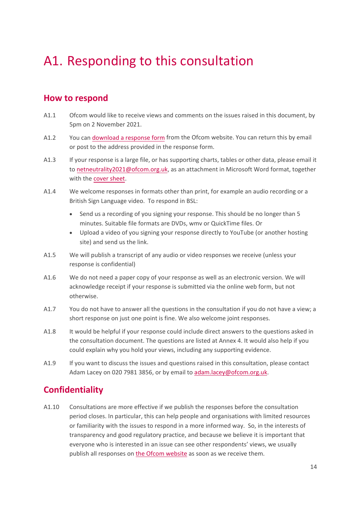# <span id="page-15-0"></span>A1. Responding to this consultation

## **How to respond**

- A1.1 Ofcom would like to receive views and comments on the issues raised in this document, by 5pm on 2 November 2021.
- A1.2 You can [download a response form](https://www.ofcom.org.uk/cymru/consultations-and-statements/category-2/call-for-evidence-net-neutrality-review) from the Ofcom website. You can return this by email or post to the address provided in the response form.
- A1.3 If your response is a large file, or has supporting charts, tables or other data, please email it to [netneutrality2021@ofcom.org.uk,](mailto:netneutrality2021@ofcom.org.uk) as an attachment in Microsoft Word format, together with the [cover sheet.](https://www.ofcom.org.uk/consultations-and-statements/consultation-response-coversheet)
- A1.4 We welcome responses in formats other than print, for example an audio recording or a British Sign Language video. To respond in BSL:
	- Send us a recording of you signing your response. This should be no longer than 5 minutes. Suitable file formats are DVDs, wmv or QuickTime files. Or
	- Upload a video of you signing your response directly to YouTube (or another hosting site) and send us the link.
- A1.5 We will publish a transcript of any audio or video responses we receive (unless your response is confidential)
- A1.6 We do not need a paper copy of your response as well as an electronic version. We will acknowledge receipt if your response is submitted via the online web form, but not otherwise.
- A1.7 You do not have to answer all the questions in the consultation if you do not have a view; a short response on just one point is fine. We also welcome joint responses.
- A1.8 It would be helpful if your response could include direct answers to the questions asked in the consultation document. The questions are listed at Annex 4. It would also help if you could explain why you hold your views, including any supporting evidence.
- A1.9 If you want to discuss the issues and questions raised in this consultation, please contact Adam Lacey on 020 7981 3856, or by email t[o adam.lacey@ofcom.org.uk.](mailto:adam.lacey@ofcom.org.uk)

## **Confidentiality**

A1.10 Consultations are more effective if we publish the responses before the consultation period closes. In particular, this can help people and organisations with limited resources or familiarity with the issues to respond in a more informed way. So, in the interests of transparency and good regulatory practice, and because we believe it is important that everyone who is interested in an issue can see other respondents' views, we usually publish all responses on [the Ofcom website](http://www.ofcom.org.uk/) as soon as we receive them.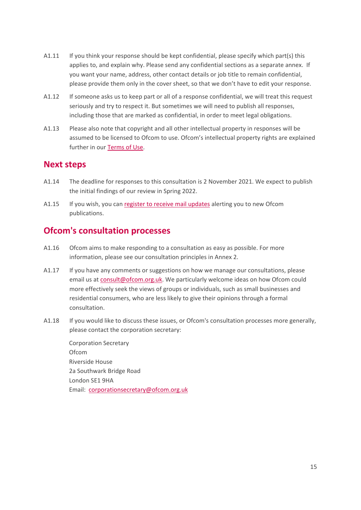- A1.11 If you think your response should be kept confidential, please specify which part(s) this applies to, and explain why. Please send any confidential sections as a separate annex. If you want your name, address, other contact details or job title to remain confidential, please provide them only in the cover sheet, so that we don't have to edit your response.
- A1.12 If someone asks us to keep part or all of a response confidential, we will treat this request seriously and try to respect it. But sometimes we will need to publish all responses, including those that are marked as confidential, in order to meet legal obligations.
- A1.13 Please also note that copyright and all other intellectual property in responses will be assumed to be licensed to Ofcom to use. Ofcom's intellectual property rights are explained further in our [Terms of Use.](https://www.ofcom.org.uk/about-ofcom/website/terms-of-use)

## **Next steps**

- A1.14 The deadline for responses to this consultation is 2 November 2021. We expect to publish the initial findings of our review in Spring 2022.
- A1.15 If you wish, you can [register to receive mail updates](https://www.ofcom.org.uk/about-ofcom/latest/email-updates) alerting you to new Ofcom publications.

## **Ofcom's consultation processes**

- A1.16 Ofcom aims to make responding to a consultation as easy as possible. For more information, please see our consultation principles in Annex 2.
- A1.17 If you have any comments or suggestions on how we manage our consultations, please email us a[t consult@ofcom.org.uk.](mailto:consult@ofcom.org.uk) We particularly welcome ideas on how Ofcom could more effectively seek the views of groups or individuals, such as small businesses and residential consumers, who are less likely to give their opinions through a formal consultation.
- A1.18 If you would like to discuss these issues, or Ofcom's consultation processes more generally, please contact the corporation secretary:

Corporation Secretary Ofcom Riverside House 2a Southwark Bridge Road London SE1 9HA Email: [corporationsecretary@ofcom.org.uk](mailto:corporationsecretary@ofcom.org.uk)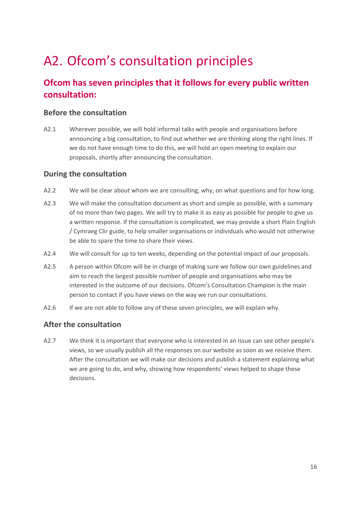# <span id="page-17-0"></span>A2. Ofcom's consultation principles

## **Ofcom has seven principles that it follows for every public written consultation:**

### **Before the consultation**

A2.1 Wherever possible, we will hold informal talks with people and organisations before announcing a big consultation, to find out whether we are thinking along the right lines. If we do not have enough time to do this, we will hold an open meeting to explain our proposals, shortly after announcing the consultation.

### **During the consultation**

- A2.2 We will be clear about whom we are consulting, why, on what questions and for how long.
- A2.3 We will make the consultation document as short and simple as possible, with a summary of no more than two pages. We will try to make it as easy as possible for people to give us a written response. If the consultation is complicated, we may provide a short Plain English / Cymraeg Clir guide, to help smaller organisations or individuals who would not otherwise be able to spare the time to share their views.
- A2.4 We will consult for up to ten weeks, depending on the potential impact of our proposals.
- A2.5 A person within Ofcom will be in charge of making sure we follow our own guidelines and aim to reach the largest possible number of people and organisations who may be interested in the outcome of our decisions. Ofcom's Consultation Champion is the main person to contact if you have views on the way we run our consultations.
- A2.6 If we are not able to follow any of these seven principles, we will explain why.

### **After the consultation**

A2.7 We think it is important that everyone who is interested in an issue can see other people's views, so we usually publish all the responses on our website as soon as we receive them. After the consultation we will make our decisions and publish a statement explaining what we are going to do, and why, showing how respondents' views helped to shape these decisions.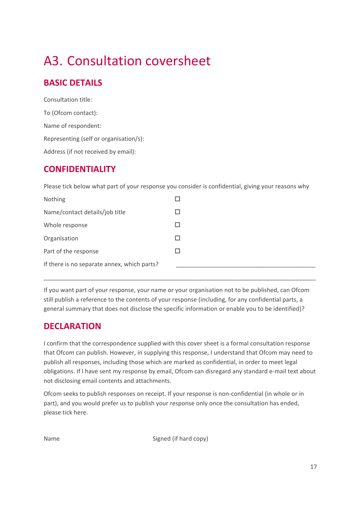# <span id="page-18-0"></span>A3. Consultation coversheet

## **BASIC DETAILS**

Consultation title: To (Ofcom contact): Name of respondent: Representing (self or organisation/s): Address (if not received by email):

## **CONFIDENTIALITY**

Please tick below what part of your response you consider is confidential, giving your reasons why

| Nothing                                     |  |
|---------------------------------------------|--|
| Name/contact details/job title              |  |
| Whole response                              |  |
| Organisation                                |  |
| Part of the response                        |  |
| If there is no separate annex, which parts? |  |

If you want part of your response, your name or your organisation not to be published, can Ofcom still publish a reference to the contents of your response (including, for any confidential parts, a general summary that does not disclose the specific information or enable you to be identified)?

\_\_\_\_\_\_\_\_\_\_\_\_\_\_\_\_\_\_\_\_\_\_\_\_\_\_\_\_\_\_\_\_\_\_\_\_\_\_\_\_\_\_\_\_\_\_\_\_\_\_\_\_\_\_\_\_\_\_\_\_\_\_\_\_\_\_\_\_\_\_\_\_\_\_\_\_\_\_\_\_\_\_

## **DECLARATION**

I confirm that the correspondence supplied with this cover sheet is a formal consultation response that Ofcom can publish. However, in supplying this response, I understand that Ofcom may need to publish all responses, including those which are marked as confidential, in order to meet legal obligations. If I have sent my response by email, Ofcom can disregard any standard e-mail text about not disclosing email contents and attachments.

Ofcom seeks to publish responses on receipt. If your response is non-confidential (in whole or in part), and you would prefer us to publish your response only once the consultation has ended, please tick here.

Name Signed (if hard copy)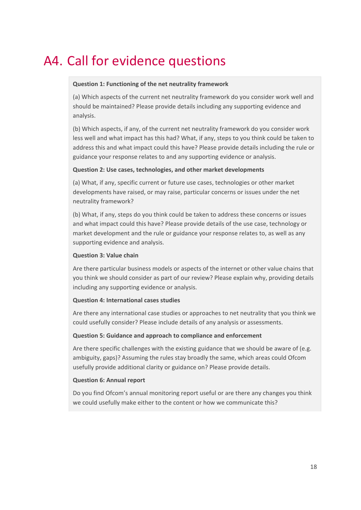# <span id="page-19-0"></span>A4. Call for evidence questions

#### **Question 1: Functioning of the net neutrality framework**

(a) Which aspects of the current net neutrality framework do you consider work well and should be maintained? Please provide details including any supporting evidence and analysis.

(b) Which aspects, if any, of the current net neutrality framework do you consider work less well and what impact has this had? What, if any, steps to you think could be taken to address this and what impact could this have? Please provide details including the rule or guidance your response relates to and any supporting evidence or analysis.

#### **Question 2: Use cases, technologies, and other market developments**

(a) What, if any, specific current or future use cases, technologies or other market developments have raised, or may raise, particular concerns or issues under the net neutrality framework?

(b) What, if any, steps do you think could be taken to address these concerns or issues and what impact could this have? Please provide details of the use case, technology or market development and the rule or guidance your response relates to, as well as any supporting evidence and analysis.

#### **Question 3: Value chain**

Are there particular business models or aspects of the internet or other value chains that you think we should consider as part of our review? Please explain why, providing details including any supporting evidence or analysis.

#### **Question 4: International cases studies**

Are there any international case studies or approaches to net neutrality that you think we could usefully consider? Please include details of any analysis or assessments.

#### **Question 5: Guidance and approach to compliance and enforcement**

Are there specific challenges with the existing guidance that we should be aware of (e.g. ambiguity, gaps)? Assuming the rules stay broadly the same, which areas could Ofcom usefully provide additional clarity or guidance on? Please provide details.

#### **Question 6: Annual report**

Do you find Ofcom's annual monitoring report useful or are there any changes you think we could usefully make either to the content or how we communicate this?